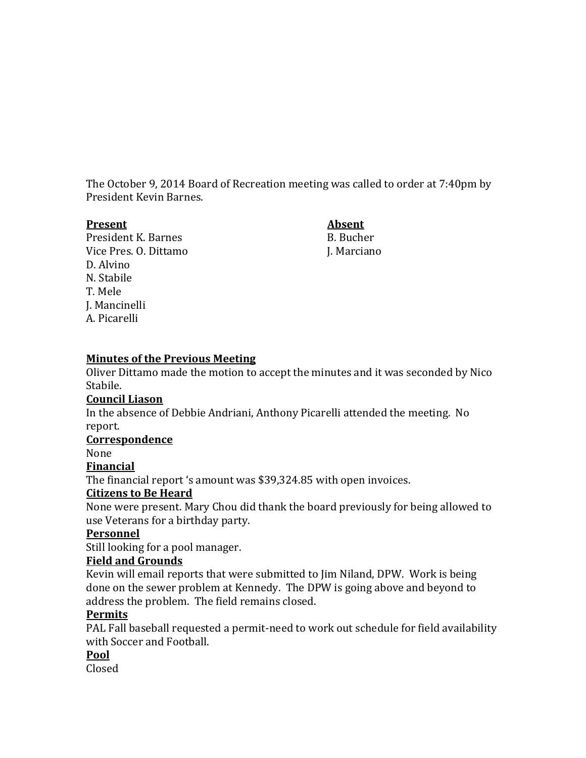The October 9, 2014 Board of Recreation meeting was called to order at 7:40pm by President Kevin Barnes.

#### **Present Absent**

President K. Barnes B. Bucher Vice Pres. O. Dittamo J. Marciano D. Alvino N. Stabile T. Mele J. Mancinelli A. Picarelli

# **Minutes of the Previous Meeting**

Oliver Dittamo made the motion to accept the minutes and it was seconded by Nico Stabile.

# **Council Liason**

In the absence of Debbie Andriani, Anthony Picarelli attended the meeting. No report.

# **Correspondence**

None

**Financial**

The financial report 's amount was \$39,324.85 with open invoices.

# **Citizens to Be Heard**

None were present. Mary Chou did thank the board previously for being allowed to use Veterans for a birthday party.

# **Personnel**

Still looking for a pool manager.

# **Field and Grounds**

Kevin will email reports that were submitted to Jim Niland, DPW. Work is being done on the sewer problem at Kennedy. The DPW is going above and beyond to address the problem. The field remains closed.

# **Permits**

PAL Fall baseball requested a permit-need to work out schedule for field availability with Soccer and Football.

# **Pool**

Closed